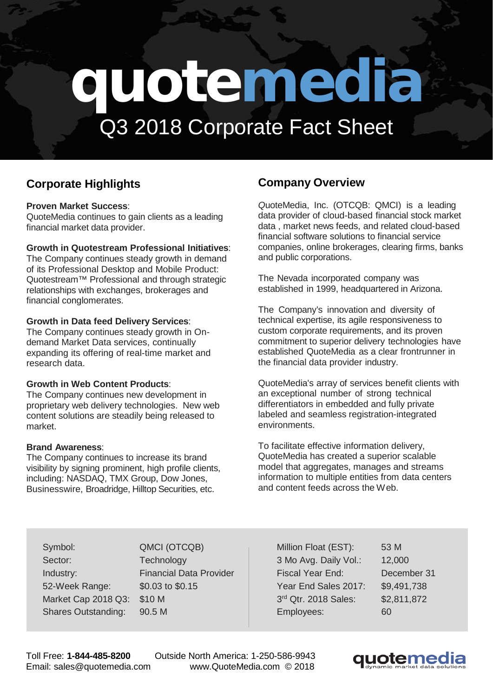# **quotemedia** Q3 2018 Corporate Fact Sheet

## **Corporate Highlights**

#### **Proven Market Success**:

QuoteMedia continues to gain clients as a leading financial market data provider.

#### **Growth in Quotestream Professional Initiatives**:

The Company continues steady growth in demand of its Professional Desktop and Mobile Product: Quotestream™ Professional and through strategic relationships with exchanges, brokerages and financial conglomerates.

#### **Growth in Data feed Delivery Services**:

The Company continues steady growth in Ondemand Market Data services, continually expanding its offering of real-time market and research data.

#### **Growth in Web Content Products**:

The Company continues new development in proprietary web delivery technologies. New web content solutions are steadily being released to market.

#### **Brand Awareness**:

The Company continues to increase its brand visibility by signing prominent, high profile clients, including: NASDAQ, TMX Group, Dow Jones, Businesswire, Broadridge, Hilltop Securities, etc.

### **Company Overview**

*Q*uoteMedia, Inc. (OTCQB: QMCI) is a leading data provider of cloud-based financial stock market data , market news feeds, and related cloud-based financial software solutions to financial service companies, online brokerages, clearing firms, banks and public corporations.

The Nevada incorporated company was established in 1999, headquartered in Arizona.

The Company's innovation and diversity of technical expertise, its agile responsiveness to custom corporate requirements, and its proven commitment to superior delivery technologies have established QuoteMedia as a clear frontrunner in the financial data provider industry.

QuoteMedia's array of services benefit clients with an exceptional number of strong technical differentiators in embedded and fully private labeled and seamless registration-integrated environments.

To facilitate effective information delivery, QuoteMedia has created a superior scalable model that aggregates, manages and streams information to multiple entities from data centers and content feeds across the Web.

Symbol: QMCI (OTCQB) Sector: Technology Industry: Financial Data Provider 52-Week Range: \$0.03 to \$0.15 Market Cap 2018 Q3: \$10 M Shares Outstanding: 90.5 M

Million Float (EST): 53 M 3 Mo Avg. Daily Vol.: 12,000 Fiscal Year End: December 31 Year End Sales 2017: \$9,491,738 3<sup>rd</sup> Qtr. 2018 Sales: \$2,811,872 Employees: 60

Toll Free: **1-844-485-8200** Outside North America: 1-250-586-9943 Email: [sales@quotemedia.com](mailto:sales@quotemedia.com) [www.QuoteMedia.com](http://www.quotemedia.com/) © 2018

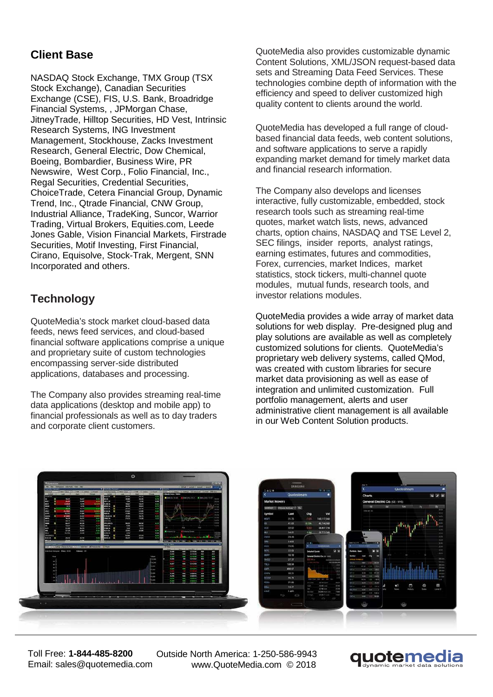## **Client Base**

NASDAQ Stock Exchange, TMX Group (TSX Stock Exchange), Canadian Securities Exchange (CSE), FIS, U.S. Bank, Broadridge Financial Systems, , JPMorgan Chase, JitneyTrade, Hilltop Securities, HD Vest, Intrinsic Research Systems, ING Investment Management, Stockhouse, Zacks Investment Research, General Electric, Dow Chemical, Boeing, Bombardier, Business Wire, PR Newswire, West Corp., Folio Financial, Inc., Regal Securities, Credential Securities, ChoiceTrade, Cetera Financial Group, Dynamic Trend, Inc., Qtrade Financial, CNW Group, Industrial Alliance, TradeKing, Suncor, Warrior Trading, Virtual Brokers, Equities.com, Leede Jones Gable, Vision Financial Markets, Firstrade Securities, Motif Investing, First Financial, Cirano, Equisolve, Stock-Trak, Mergent, SNN Incorporated and others.

## **Technology**

QuoteMedia's stock market cloud-based data feeds, news feed services, and cloud-based financial software applications comprise a unique and proprietary suite of custom technologies encompassing server-side distributed applications, databases and processing.

The Company also provides streaming real-time data applications (desktop and mobile app) to financial professionals as well as to day traders and corporate client customers.

QuoteMedia also provides customizable dynamic Content Solutions, XML/JSON request-based data sets and Streaming Data Feed Services. These technologies combine depth of information with the efficiency and speed to deliver customized high quality content to clients around the world.

QuoteMedia has developed a full range of cloudbased financial data feeds, web content solutions, and software applications to serve a rapidly expanding market demand for timely market data and financial research information.

The Company also develops and licenses interactive, fully customizable, embedded, stock research tools such as streaming real-time quotes, market watch lists, news, advanced charts, option chains, NASDAQ and TSE Level 2, SEC filings, insider reports, analyst ratings, earning estimates, futures and commodities, Forex, currencies, market Indices, market statistics, stock tickers, multi-channel quote modules, mutual funds, research tools, and investor relations modules.

QuoteMedia provides a wide array of market data solutions for web display. Pre-designed plug and play solutions are available as well as completely customized solutions for clients. QuoteMedia's proprietary web delivery systems, called QMod, was created with custom libraries for secure market data provisioning as well as ease of integration and unlimited customization. Full portfolio management, alerts and user administrative client management is all available in our Web Content Solution products.



Toll Free: **1-844-485-8200** Email: [sales@quotemedia.com](mailto:sales@quotemedia.com)

Outside North America: 1-250-586-9943 [www.QuoteMedia.com](http://www.quotemedia.com/) © 2018